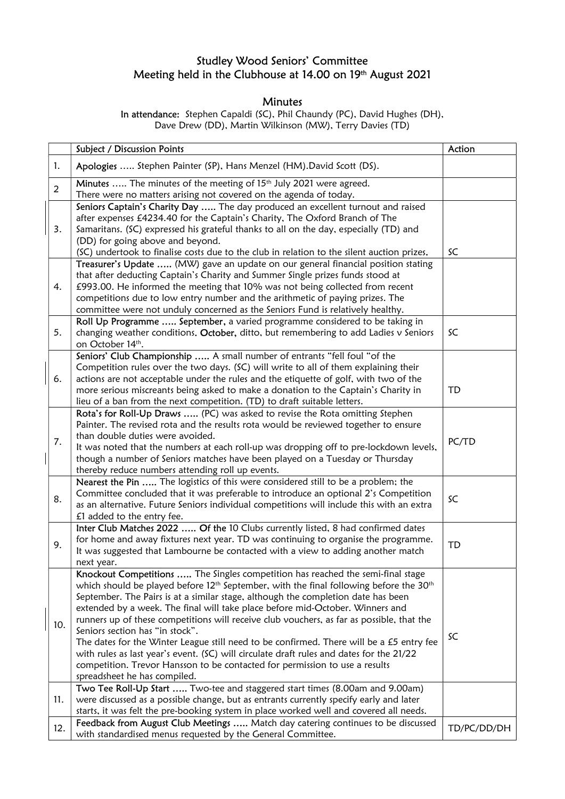## Studley Wood Seniors' Committee Meeting held in the Clubhouse at 14.00 on 19th August 2021

## Minutes

In attendance: Stephen Capaldi (SC), Phil Chaundy (PC), David Hughes (DH), Dave Drew (DD), Martin Wilkinson (MW), Terry Davies (TD)

|                | Subject / Discussion Points                                                                                                                                                                                                                             | Action      |
|----------------|---------------------------------------------------------------------------------------------------------------------------------------------------------------------------------------------------------------------------------------------------------|-------------|
| 1.             | Apologies  Stephen Painter (SP), Hans Menzel (HM). David Scott (DS).                                                                                                                                                                                    |             |
| $\overline{2}$ | Minutes  The minutes of the meeting of 15 <sup>th</sup> July 2021 were agreed.                                                                                                                                                                          |             |
|                | There were no matters arising not covered on the agenda of today.                                                                                                                                                                                       |             |
| 3.             | Seniors Captain's Charity Day  The day produced an excellent turnout and raised<br>after expenses £4234.40 for the Captain's Charity, The Oxford Branch of The<br>Samaritans. (SC) expressed his grateful thanks to all on the day, especially (TD) and |             |
|                | (DD) for going above and beyond.<br>(SC) undertook to finalise costs due to the club in relation to the silent auction prizes.                                                                                                                          | SC          |
|                | Treasurer's Update  (MW) gave an update on our general financial position stating                                                                                                                                                                       |             |
|                | that after deducting Captain's Charity and Summer Single prizes funds stood at                                                                                                                                                                          |             |
| 4.             | £993.00. He informed the meeting that 10% was not being collected from recent                                                                                                                                                                           |             |
|                | competitions due to low entry number and the arithmetic of paying prizes. The                                                                                                                                                                           |             |
|                | committee were not unduly concerned as the Seniors Fund is relatively healthy.                                                                                                                                                                          |             |
|                | Roll Up Programme  September, a varied programme considered to be taking in                                                                                                                                                                             |             |
| 5.             | changing weather conditions. October, ditto, but remembering to add Ladies v Seniors<br>on October 14th.                                                                                                                                                | SC          |
|                | Seniors' Club Championship  A small number of entrants "fell foul "of the                                                                                                                                                                               |             |
|                | Competition rules over the two days. (SC) will write to all of them explaining their                                                                                                                                                                    |             |
| 6.             | actions are not acceptable under the rules and the etiquette of golf, with two of the                                                                                                                                                                   |             |
|                | more serious miscreants being asked to make a donation to the Captain's Charity in                                                                                                                                                                      | TD          |
|                | lieu of a ban from the next competition. (TD) to draft suitable letters.                                                                                                                                                                                |             |
|                | Rota's for Roll-Up Draws  (PC) was asked to revise the Rota omitting Stephen                                                                                                                                                                            |             |
|                | Painter. The revised rota and the results rota would be reviewed together to ensure                                                                                                                                                                     |             |
| 7.             | than double duties were avoided.                                                                                                                                                                                                                        | PC/TD       |
|                | It was noted that the numbers at each roll-up was dropping off to pre-lockdown levels,                                                                                                                                                                  |             |
|                | though a number of Seniors matches have been played on a Tuesday or Thursday                                                                                                                                                                            |             |
|                | thereby reduce numbers attending roll up events.                                                                                                                                                                                                        |             |
|                | Nearest the Pin  The logistics of this were considered still to be a problem; the                                                                                                                                                                       |             |
| 8.             | Committee concluded that it was preferable to introduce an optional 2's Competition                                                                                                                                                                     | SC          |
|                | as an alternative. Future Seniors individual competitions will include this with an extra                                                                                                                                                               |             |
|                | £1 added to the entry fee.                                                                                                                                                                                                                              |             |
|                | Inter Club Matches 2022  Of the 10 Clubs currently listed, 8 had confirmed dates                                                                                                                                                                        |             |
| 9.             | for home and away fixtures next year. TD was continuing to organise the programme.                                                                                                                                                                      | TD          |
|                | It was suggested that Lambourne be contacted with a view to adding another match                                                                                                                                                                        |             |
|                | next vear.                                                                                                                                                                                                                                              |             |
|                | Knockout Competitions  The Singles competition has reached the semi-final stage<br>which should be played before $12th$ September, with the final following before the 30 <sup>th</sup>                                                                 |             |
|                | September. The Pairs is at a similar stage, although the completion date has been                                                                                                                                                                       |             |
|                | extended by a week. The final will take place before mid-October. Winners and                                                                                                                                                                           |             |
|                | runners up of these competitions will receive club vouchers, as far as possible, that the                                                                                                                                                               |             |
| 10.            | Seniors section has "in stock".                                                                                                                                                                                                                         |             |
|                | The dates for the Winter League still need to be confirmed. There will be a £5 entry fee                                                                                                                                                                | SC          |
|                | with rules as last year's event. (SC) will circulate draft rules and dates for the 21/22                                                                                                                                                                |             |
|                | competition. Trevor Hansson to be contacted for permission to use a results                                                                                                                                                                             |             |
|                | spreadsheet he has compiled.                                                                                                                                                                                                                            |             |
|                | Two Tee Roll-Up Start  Two-tee and staggered start times (8.00am and 9.00am)                                                                                                                                                                            |             |
| 11.            | were discussed as a possible change, but as entrants currently specify early and later                                                                                                                                                                  |             |
|                | starts, it was felt the pre-booking system in place worked well and covered all needs.                                                                                                                                                                  |             |
|                | Feedback from August Club Meetings  Match day catering continues to be discussed                                                                                                                                                                        |             |
| 12.            | with standardised menus requested by the General Committee.                                                                                                                                                                                             | TD/PC/DD/DH |